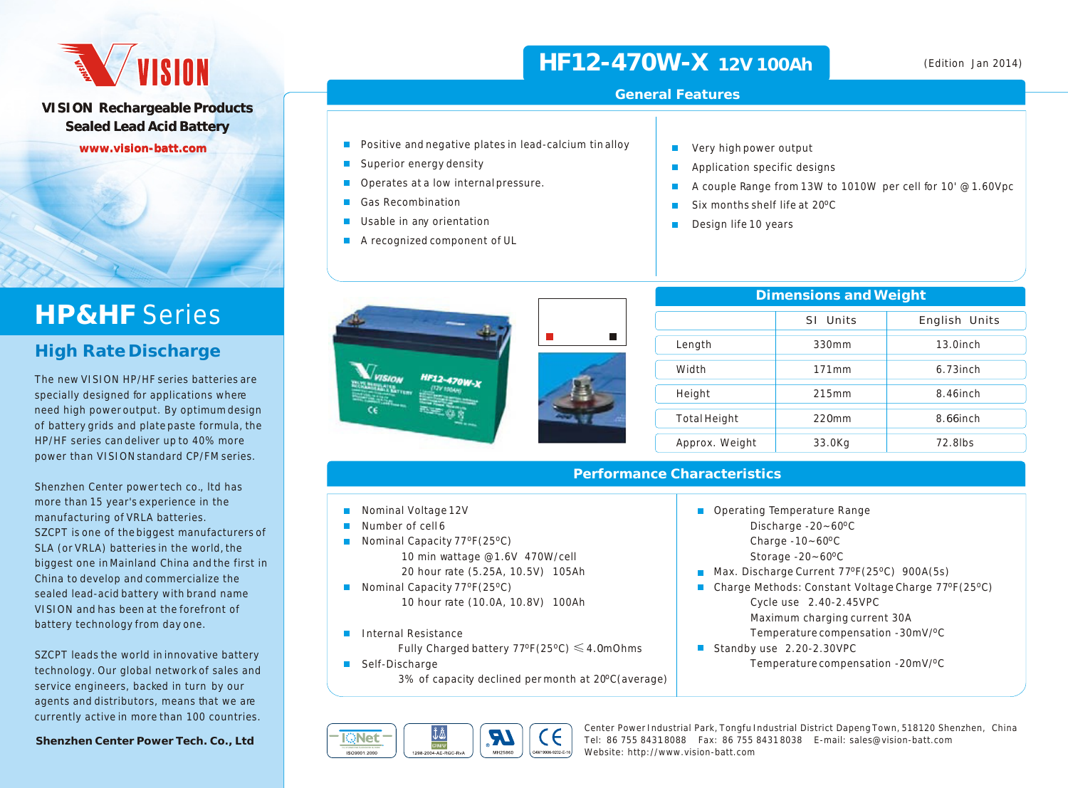# **AVISION**

**VISION Rechargeable Products Sealed Lead Acid Battery**

**www.vision-batt.com**

# **HP&HF** Series

### **High Rate Discharge**

The new VISION HP/HF series batteries are specially designed for applications where need high power output. By optimum design of battery grids and plate paste formula, the HP/HF series can deliver up to 40% more power than VISION standard CP/FM series.

Shenzhen Center power tech co., ltd has more than 15 year's experience in the manufacturing of VRLA batteries. SZCPT is one of the biggest manufacturers of SLA (or VRLA) batteries in the world, the biggest one in Mainland China and the first in China to develop and commercialize the sealed lead-acid battery with brand name VISION and has been at the forefront of battery technology from day one.

SZCPT leads the world in innovative battery technology. Our global network of sales and service engineers, backed in turn by our agents and distributors, means that we are currently active in more than 100 countries.

**Shenzhen Center Power Tech. Co., Ltd**

# **HF12-470W-X 12V 100Ah**

#### **General Features**

m. m.  $\blacksquare$ m.

m.

Very high power output Application specific designs

Design life 10 years

Six months shelf life at 20°C

- $\blacksquare$  Positive and negative plates in lead-calcium tin alloy
- Superior energy density
- Operates at a low internal pressure.
- Gas Recombination
- Usable in any orientation  $\blacksquare$
- A recognized component of UL
	- HF12-470W-1

| Dimensions and Weight |          |               |  |  |  |  |  |  |  |
|-----------------------|----------|---------------|--|--|--|--|--|--|--|
|                       | SI Units | English Units |  |  |  |  |  |  |  |
| Length                | 330mm    | $13.0$ inch   |  |  |  |  |  |  |  |
| Width                 | 171mm    | $6.73$ inch   |  |  |  |  |  |  |  |
| Height                | 215mm    | 8.46inch      |  |  |  |  |  |  |  |
| Total Height          | $220$ mm | 8.66inch      |  |  |  |  |  |  |  |
| Approx. Weight        | 33.0Kg   | 72.8lbs       |  |  |  |  |  |  |  |

A couple Range from 13W to 1010W per cell for 10' @ 1.60Vpc

Charge Methods: Constant Voltage Charge 77ºF(25°C)

 Maximum charging current 30A Temperature compensation -30mV/<sup>o</sup>C

 $\blacksquare$  Max. Discharge Current 77°F(25°C) 900A(5s)

Temperature compensation -20mV/<sup>o</sup>C

#### **Performance Characteristics**

- Nominal Voltage 12V
- $\mathbf{r}$ Number of cell 6
- Nominal Capacity 77°F(25°C) 10 min wattage @1.6V 470W/cell 20 hour rate (5.25A, 10.5V) 105Ah
- Nominal Capacity  $77^{\circ}F(25^{\circ}C)$ 10 hour rate (10.0A, 10.8V) 100Ah
- Internal Resistance  $\mathcal{L}_{\mathcal{A}}$ 
	- Fully Charged battery 77ºF(25ºC)  $\leqslant$  4.0mOhms
- Self-Discharge

3% of capacity declined permonth at 20°C(average)



Center Power Industrial Park, Tongfu Industrial District Dapeng Town, 518120 Shenzhen, China Tel: 86 755 8431 8088 Fax: 86 755 8431 8038 E-mail: sales@vision-batt.com Website: http://www.vision-batt.com

Operating Temperature Range

Discharge -20~60°C Charge  $-10-60$ <sup>o</sup>C Storage  $-20-60$ <sup>o</sup>C

Standby use 2.20-2.30VPC

Cycle use 2.40-2.45VPC